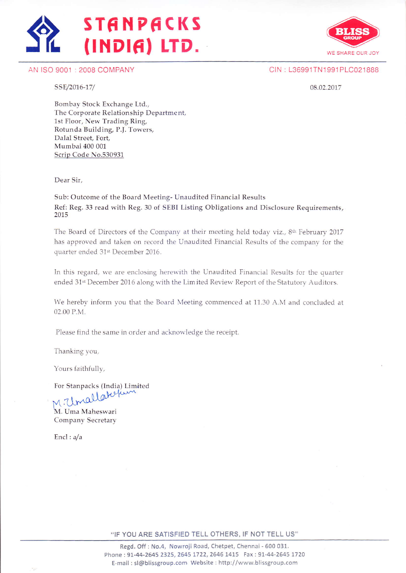





CIN : L36991TN1991 PLC021888

SSE/2016-17/

08.02.2017

Bombay Stock Exchange Ltd., The Corporate Relationship Departme nt, 1st Floor, New Trading Ring, Rotunda Building, P.J. Towers, Dalal Street, Fort, Mumbai 400 001 Scrip Code No.530931

Dear Sir,

Sub: Outcome of the Board Meeting- Unaudited Financial Results Ref: Reg. 33 read with Reg. 30 of SEBI Listing Obligations and Disclosure Requirements, 2075

The Board of Directors of the Company at their meeting held today viz., 8<sup>th</sup> February 2017 has approved and taken on record the Unaudited Financial Results of the company for the quarter ended 31st December 2016.

In this regard, we are enclosing herewith the Unaudited Financial Results for the quarter ended 31st December 2016 along with the Limited Review Report of the Statutory Auditors.

We hereby inform you that the Board Meetirg commenced at 11.30 A.M and concluded at 02.00 P.M.

Please find the same in order and acknowledge the receipt.

Thanking you,

Yours faithfully,

For Stanpacks (India) Limited

 $M.T$ M. Uma Maheswari Company Secretary

 $End: a/a$ 

"IF YOU ARE SATISFIED TELL OTHERS, IF NOT TELL US"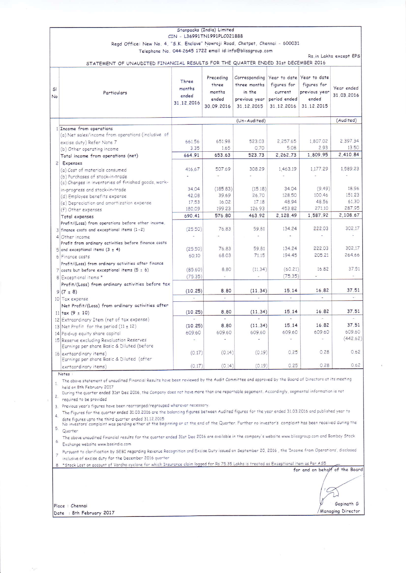|               |                                                                                         | CIN - L36991TN1991PLC021888            | Stanpacks (India) Limited                           |                                                                        |                                                      |                                                                                  |                          |
|---------------|-----------------------------------------------------------------------------------------|----------------------------------------|-----------------------------------------------------|------------------------------------------------------------------------|------------------------------------------------------|----------------------------------------------------------------------------------|--------------------------|
|               | Regd Office: New No. 4, "S.K. Enclave" Nowroji Road, Chetpet, Chennai - 600031          |                                        |                                                     |                                                                        |                                                      |                                                                                  |                          |
|               |                                                                                         |                                        |                                                     | Telephone No. 044-2645 1722 email id:info@blissgroup.com               |                                                      |                                                                                  |                          |
|               |                                                                                         |                                        |                                                     |                                                                        |                                                      |                                                                                  | Rs. in Lakhs except EPS  |
|               | STATEMENT OF UNAUDITED FINANCIAL RESULTS FOR THE QUARTER ENDED 31st DECEMBER 2016       |                                        |                                                     |                                                                        |                                                      |                                                                                  |                          |
| SI<br>No      | Particulars                                                                             | Three<br>months<br>ended<br>31.12.2016 | Preceding<br>three<br>months<br>ended<br>30.09.2016 | Corresponding<br>three months<br>in the<br>previous year<br>31.12.2015 | figures for<br>current<br>period ended<br>31.12.2016 | Year to date Year to date<br>figures for<br>previous year<br>ended<br>31.12.2015 | Year ended<br>31.03.2016 |
|               |                                                                                         | (Un-Audited)                           |                                                     |                                                                        |                                                      |                                                                                  | (Audited)                |
|               | 1 Income from operations                                                                |                                        |                                                     |                                                                        |                                                      |                                                                                  |                          |
|               | (a) Net sales/income from operations (inclusive of                                      |                                        |                                                     |                                                                        |                                                      |                                                                                  |                          |
|               | excise duty) Refer Note 7                                                               | 66156                                  | 65198                                               | 523.03                                                                 | 2.257.65                                             | 1,807.02                                                                         | 2.397.34                 |
|               | (b) Other operating income                                                              | 3.35                                   | 1.65                                                | 0.70                                                                   | 5.08                                                 | 2.93                                                                             | 13.50                    |
|               | Total income from operations (net)                                                      | 664.91                                 | 653.63                                              | 523.73                                                                 | 2.262.73                                             | 1,809.95                                                                         | 2.410.84                 |
|               | 2 Expenses                                                                              |                                        |                                                     |                                                                        |                                                      |                                                                                  |                          |
|               | (a) Cost of materials consumed                                                          | 416.67                                 | 507.69                                              | 308.29                                                                 | 1,463.19                                             | 1,177.29                                                                         | 1,589.23                 |
|               | (b) Purchases of stock-in-trade                                                         | ×                                      | $\overline{\phantom{a}}$                            |                                                                        |                                                      |                                                                                  |                          |
|               | (c) Changes in inventories of finished goods, work-                                     |                                        |                                                     |                                                                        |                                                      |                                                                                  |                          |
|               | in-progress and stock-in-trade                                                          | 34.04                                  | (185.83)                                            | (15.18)                                                                | 34.04                                                | (9.49)                                                                           | 18.96                    |
|               | (d) Employee benefits expense                                                           | 42.08                                  | 39.69                                               | 26,70                                                                  | 128,50                                               | 100.46                                                                           | 151.23                   |
|               | (e) Depreciation and amortization expense                                               | 17.53                                  | 16,02                                               | 17.18                                                                  | 48.94                                                | 48.56                                                                            | 61.30                    |
|               | (f) Other expenses                                                                      | 180.09                                 | 199.23                                              | 126,93                                                                 | 453.82                                               | 271.10                                                                           | 287.95                   |
|               | Total expenses                                                                          | 690.41                                 | 576.80                                              | 463.92                                                                 | 2.128.49                                             | 1,587.92                                                                         | 2,108.67                 |
|               | Profit/(Loss) from operations before other income,                                      |                                        |                                                     |                                                                        |                                                      |                                                                                  |                          |
|               | 3 finance costs and exceptional items (1-2)                                             | (25.50)                                | 76.83                                               | 59.81                                                                  | 134.24                                               | 222.03                                                                           | 302.17                   |
|               | 4 Other income                                                                          |                                        |                                                     |                                                                        |                                                      |                                                                                  |                          |
|               | Profit from ordinary activities before finance costs                                    |                                        |                                                     |                                                                        |                                                      |                                                                                  |                          |
|               | $5$ and exceptional items (3 $\pm$ 4)                                                   | (25,50)                                | 76.83                                               | 59.81                                                                  | 134.24                                               | 222.03                                                                           | 302.17                   |
|               | 6 Finance costs                                                                         | 60.10                                  | 68.03                                               | 71.15                                                                  | 194.45                                               | 205.21                                                                           | 264.66                   |
|               | Profit/(Loss) from ordinary activities after finance                                    |                                        |                                                     |                                                                        |                                                      |                                                                                  |                          |
|               | 7 costs but before exceptional items $(5 \pm 6)$                                        | (85.60)                                | 8.80                                                | (11.34)                                                                | (60.21)                                              | 16.82                                                                            | 37.51                    |
|               | 8 Exceptional items *                                                                   | (75.35)                                | Ś.                                                  |                                                                        | (75.35)                                              |                                                                                  |                          |
|               | Profit/(Loss) from ordinary activities before tax                                       |                                        |                                                     |                                                                        |                                                      |                                                                                  |                          |
|               | $9(7 \pm 8)$                                                                            | (10.25)                                | 8.80                                                | (11.34)                                                                | 15.14                                                | 16.82                                                                            | 37.51                    |
|               | 10 Tax expense                                                                          | ε                                      |                                                     |                                                                        |                                                      |                                                                                  |                          |
|               | Net Profit/(Loss) from ordinary activities after                                        |                                        |                                                     |                                                                        |                                                      |                                                                                  |                          |
|               | 11 tax $(9 \pm 10)$                                                                     | (10.25)                                | 8.80                                                | (11.34)                                                                | 15.14                                                | 16.82                                                                            | 37.51                    |
|               | 12 Extraordinary Item (net of tax expense)                                              | у.                                     |                                                     |                                                                        |                                                      | ÷,                                                                               | $\sim$                   |
|               | 13 Net Profit for the period $(11 \pm 12)$                                              | (10.25)                                | 8.80                                                | (11.34)                                                                | 15.14                                                | 16.82                                                                            | 37.51                    |
|               | 14 Paid-up equity share capital                                                         | 609.60                                 | 609.60                                              | 609.60                                                                 | 609.60                                               | 609.60                                                                           | 609.60                   |
|               | 15 Reserve excluding Revaluation Reserves<br>Earnings per share Basic & Diluted (before |                                        |                                                     |                                                                        |                                                      |                                                                                  | (442.62)                 |
| $\frac{1}{2}$ | a                                                                                       | (0.17)                                 | (014)                                               | (019)                                                                  | 0.25                                                 | 0.28                                                                             | 0.62                     |

Notes:

exrtaordinary items)

The above statement of unaudited Financial Results have been reviewed by the Audit Committee and approved by the Board of Directors at its meeting 1. The above statements 2017<br>held on 8th February 2017

 $(0.14)$ 

 $(0.19)$ 

 $0.25$ 

0.28

 $0.62$ 

ישט אייט אינט איז דער הארט איז דער During the quarter ended 31st Dec 2016, the Company does not have more than one reportable segement. Accordingly, segmental information is not required to be provided

 $(0.17)$ 

3. Previous year's figures have been rearranged/regrouped wherever necessary.

Earnings per share Basic & Diluted (after

The Figures for the quarter ended 31.03.2016 are the balancing figures between Audited figures for the year ended 31.03.2016 and published year to  $\Delta$ date figures upto the third quarter ended 31.12.2015

No investors' complaint was pending either at the beginning or at the end of the Quarter. Further no investor's complaint has been received during the  $5.$  Quarter

The above unaudited financial results for the quarter ended 31st Dec 2016 are available in the company's website www.blissgroup.com and Bombay Stock 6 Exchange website www.bseindia.com

Pursuant to clarification by SEBI regarding Revenue Recognition and Excise Duty issued on September 20, 2016 , the 'Income from Operations', disclosed inclusive of excise duty for the December 2016 quarter

8 \*Stock Lost on account of Vardha cyclone for which Insurance claim logged for Rs 75.35 Lakhs is treated as Exceptional item as Per AS5 for and on behalf of the Board

Place : Chennai Date : 8th February 2017

Gopinath G Managing Director